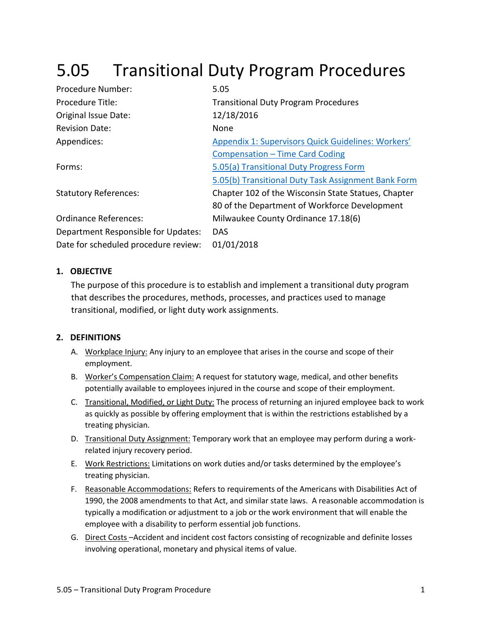# 5.05 Transitional Duty Program Procedures

| Procedure Number:                    | 5.05                                                |
|--------------------------------------|-----------------------------------------------------|
| Procedure Title:                     | <b>Transitional Duty Program Procedures</b>         |
| Original Issue Date:                 | 12/18/2016                                          |
| <b>Revision Date:</b>                | None                                                |
| Appendices:                          | Appendix 1: Supervisors Quick Guidelines: Workers'  |
|                                      | Compensation – Time Card Coding                     |
| Forms:                               | 5.05(a) Transitional Duty Progress Form             |
|                                      | 5.05(b) Transitional Duty Task Assignment Bank Form |
| <b>Statutory References:</b>         | Chapter 102 of the Wisconsin State Statues, Chapter |
|                                      | 80 of the Department of Workforce Development       |
| <b>Ordinance References:</b>         | Milwaukee County Ordinance 17.18(6)                 |
| Department Responsible for Updates:  | <b>DAS</b>                                          |
| Date for scheduled procedure review: | 01/01/2018                                          |

#### **1. OBJECTIVE**

The purpose of this procedure is to establish and implement a transitional duty program that describes the procedures, methods, processes, and practices used to manage transitional, modified, or light duty work assignments.

### **2. DEFINITIONS**

- A. Workplace Injury: Any injury to an employee that arises in the course and scope of their employment.
- B. Worker's Compensation Claim: A request for statutory wage, medical, and other benefits potentially available to employees injured in the course and scope of their employment.
- C. Transitional, Modified, or Light Duty: The process of returning an injured employee back to work as quickly as possible by offering employment that is within the restrictions established by a treating physician.
- D. Transitional Duty Assignment: Temporary work that an employee may perform during a workrelated injury recovery period.
- E. Work Restrictions: Limitations on work duties and/or tasks determined by the employee's treating physician.
- F. Reasonable Accommodations: Refers to requirements of the Americans with Disabilities Act of 1990, the 2008 amendments to that Act, and similar state laws. A reasonable accommodation is typically a modification or adjustment to a job or the work environment that will enable the employee with a disability to perform essential job functions.
- G. Direct Costs –Accident and incident cost factors consisting of recognizable and definite losses involving operational, monetary and physical items of value.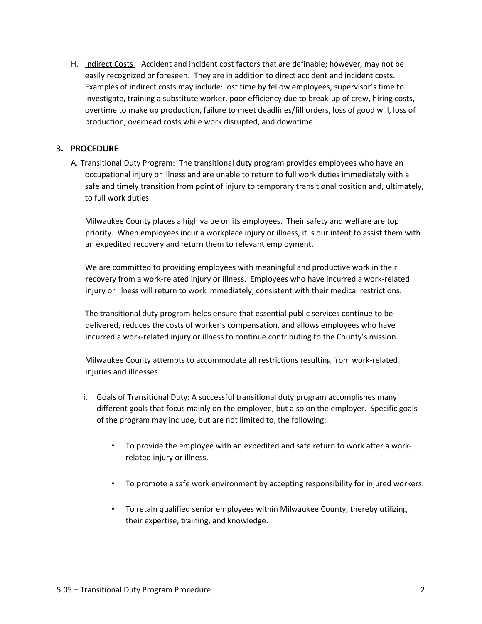H. Indirect Costs – Accident and incident cost factors that are definable; however, may not be easily recognized or foreseen. They are in addition to direct accident and incident costs. Examples of indirect costs may include: lost time by fellow employees, supervisor's time to investigate, training a substitute worker, poor efficiency due to break-up of crew, hiring costs, overtime to make up production, failure to meet deadlines/fill orders, loss of good will, loss of production, overhead costs while work disrupted, and downtime.

#### **3. PROCEDURE**

A. Transitional Duty Program: The transitional duty program provides employees who have an occupational injury or illness and are unable to return to full work duties immediately with a safe and timely transition from point of injury to temporary transitional position and, ultimately, to full work duties.

Milwaukee County places a high value on its employees. Their safety and welfare are top priority. When employees incur a workplace injury or illness, it is our intent to assist them with an expedited recovery and return them to relevant employment.

We are committed to providing employees with meaningful and productive work in their recovery from a work-related injury or illness. Employees who have incurred a work-related injury or illness will return to work immediately, consistent with their medical restrictions.

The transitional duty program helps ensure that essential public services continue to be delivered, reduces the costs of worker's compensation, and allows employees who have incurred a work-related injury or illness to continue contributing to the County's mission.

Milwaukee County attempts to accommodate all restrictions resulting from work-related injuries and illnesses.

- i. Goals of Transitional Duty: A successful transitional duty program accomplishes many different goals that focus mainly on the employee, but also on the employer. Specific goals of the program may include, but are not limited to, the following:
	- To provide the employee with an expedited and safe return to work after a workrelated injury or illness.
	- To promote a safe work environment by accepting responsibility for injured workers.
	- To retain qualified senior employees within Milwaukee County, thereby utilizing their expertise, training, and knowledge.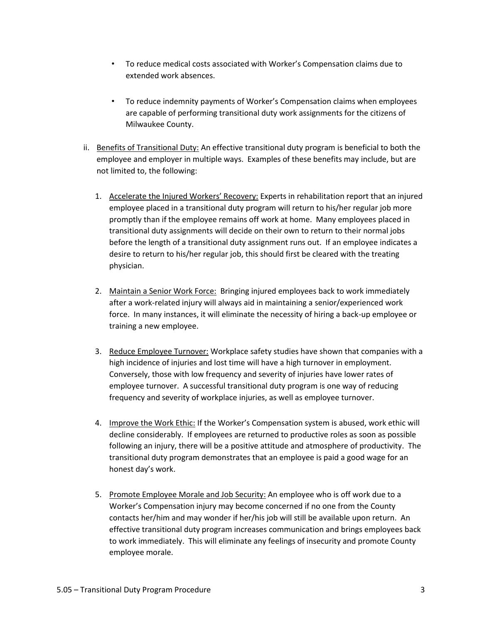- To reduce medical costs associated with Worker's Compensation claims due to extended work absences.
- To reduce indemnity payments of Worker's Compensation claims when employees are capable of performing transitional duty work assignments for the citizens of Milwaukee County.
- ii. Benefits of Transitional Duty: An effective transitional duty program is beneficial to both the employee and employer in multiple ways. Examples of these benefits may include, but are not limited to, the following:
	- 1. Accelerate the Injured Workers' Recovery: Experts in rehabilitation report that an injured employee placed in a transitional duty program will return to his/her regular job more promptly than if the employee remains off work at home. Many employees placed in transitional duty assignments will decide on their own to return to their normal jobs before the length of a transitional duty assignment runs out. If an employee indicates a desire to return to his/her regular job, this should first be cleared with the treating physician.
	- 2. Maintain a Senior Work Force: Bringing injured employees back to work immediately after a work-related injury will always aid in maintaining a senior/experienced work force. In many instances, it will eliminate the necessity of hiring a back-up employee or training a new employee.
	- 3. Reduce Employee Turnover: Workplace safety studies have shown that companies with a high incidence of injuries and lost time will have a high turnover in employment. Conversely, those with low frequency and severity of injuries have lower rates of employee turnover. A successful transitional duty program is one way of reducing frequency and severity of workplace injuries, as well as employee turnover.
	- 4. Improve the Work Ethic: If the Worker's Compensation system is abused, work ethic will decline considerably. If employees are returned to productive roles as soon as possible following an injury, there will be a positive attitude and atmosphere of productivity. The transitional duty program demonstrates that an employee is paid a good wage for an honest day's work.
	- 5. Promote Employee Morale and Job Security: An employee who is off work due to a Worker's Compensation injury may become concerned if no one from the County contacts her/him and may wonder if her/his job will still be available upon return. An effective transitional duty program increases communication and brings employees back to work immediately. This will eliminate any feelings of insecurity and promote County employee morale.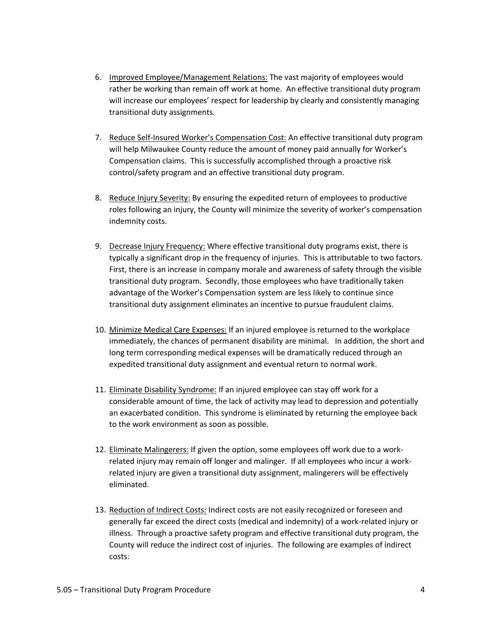- 6. Improved Employee/Management Relations: The vast majority of employees would rather be working than remain off work at home. An effective transitional duty program will increase our employees' respect for leadership by clearly and consistently managing transitional duty assignments.
- 7. Reduce Self-Insured Worker's Compensation Cost: An effective transitional duty program will help Milwaukee County reduce the amount of money paid annually for Worker's Compensation claims. This is successfully accomplished through a proactive risk control/safety program and an effective transitional duty program.
- 8. Reduce Injury Severity: By ensuring the expedited return of employees to productive roles following an injury, the County will minimize the severity of worker's compensation indemnity costs.
- 9. Decrease Injury Frequency: Where effective transitional duty programs exist, there is typically a significant drop in the frequency of injuries. This is attributable to two factors. First, there is an increase in company morale and awareness of safety through the visible transitional duty program. Secondly, those employees who have traditionally taken advantage of the Worker's Compensation system are less likely to continue since transitional duty assignment eliminates an incentive to pursue fraudulent claims.
- 10. Minimize Medical Care Expenses: If an injured employee is returned to the workplace immediately, the chances of permanent disability are minimal. In addition, the short and long term corresponding medical expenses will be dramatically reduced through an expedited transitional duty assignment and eventual return to normal work.
- 11. Eliminate Disability Syndrome: If an injured employee can stay off work for a considerable amount of time, the lack of activity may lead to depression and potentially an exacerbated condition. This syndrome is eliminated by returning the employee back to the work environment as soon as possible.
- 12. Eliminate Malingerers: If given the option, some employees off work due to a workrelated injury may remain off longer and malinger. If all employees who incur a workrelated injury are given a transitional duty assignment, malingerers will be effectively eliminated.
- 13. Reduction of Indirect Costs: Indirect costs are not easily recognized or foreseen and generally far exceed the direct costs (medical and indemnity) of a work-related injury or illness. Through a proactive safety program and effective transitional duty program, the County will reduce the indirect cost of injuries. The following are examples of indirect costs: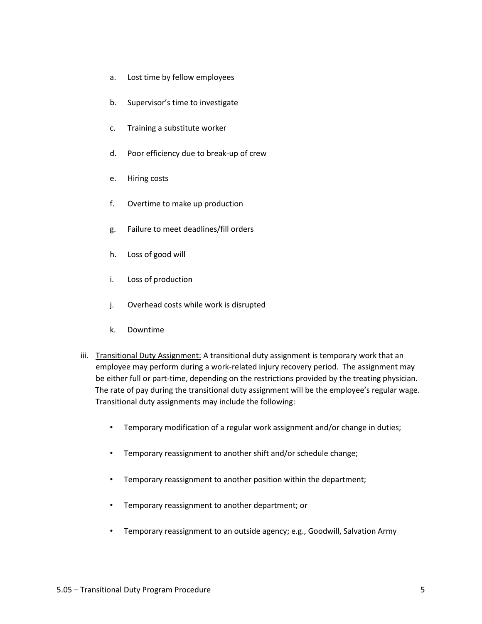- a. Lost time by fellow employees
- b. Supervisor's time to investigate
- c. Training a substitute worker
- d. Poor efficiency due to break-up of crew
- e. Hiring costs
- f. Overtime to make up production
- g. Failure to meet deadlines/fill orders
- h. Loss of good will
- i. Loss of production
- j. Overhead costs while work is disrupted
- k. Downtime
- iii. Transitional Duty Assignment: A transitional duty assignment is temporary work that an employee may perform during a work-related injury recovery period. The assignment may be either full or part-time, depending on the restrictions provided by the treating physician. The rate of pay during the transitional duty assignment will be the employee's regular wage. Transitional duty assignments may include the following:
	- Temporary modification of a regular work assignment and/or change in duties;
	- Temporary reassignment to another shift and/or schedule change;
	- Temporary reassignment to another position within the department;
	- Temporary reassignment to another department; or
	- Temporary reassignment to an outside agency; e.g., Goodwill, Salvation Army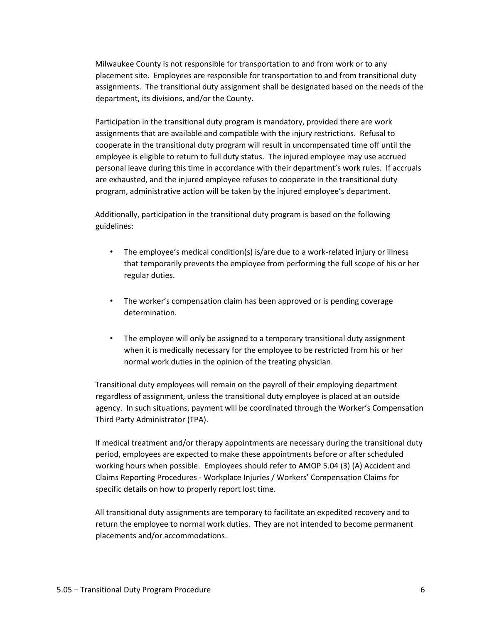Milwaukee County is not responsible for transportation to and from work or to any placement site. Employees are responsible for transportation to and from transitional duty assignments. The transitional duty assignment shall be designated based on the needs of the department, its divisions, and/or the County.

Participation in the transitional duty program is mandatory, provided there are work assignments that are available and compatible with the injury restrictions. Refusal to cooperate in the transitional duty program will result in uncompensated time off until the employee is eligible to return to full duty status. The injured employee may use accrued personal leave during this time in accordance with their department's work rules. If accruals are exhausted, and the injured employee refuses to cooperate in the transitional duty program, administrative action will be taken by the injured employee's department.

Additionally, participation in the transitional duty program is based on the following guidelines:

- The employee's medical condition(s) is/are due to a work-related injury or illness that temporarily prevents the employee from performing the full scope of his or her regular duties.
- The worker's compensation claim has been approved or is pending coverage determination.
- The employee will only be assigned to a temporary transitional duty assignment when it is medically necessary for the employee to be restricted from his or her normal work duties in the opinion of the treating physician.

Transitional duty employees will remain on the payroll of their employing department regardless of assignment, unless the transitional duty employee is placed at an outside agency. In such situations, payment will be coordinated through the Worker's Compensation Third Party Administrator (TPA).

If medical treatment and/or therapy appointments are necessary during the transitional duty period, employees are expected to make these appointments before or after scheduled working hours when possible. Employees should refer to AMOP 5.04 (3) (A) Accident and Claims Reporting Procedures - Workplace Injuries / Workers' Compensation Claims for specific details on how to properly report lost time.

All transitional duty assignments are temporary to facilitate an expedited recovery and to return the employee to normal work duties. They are not intended to become permanent placements and/or accommodations.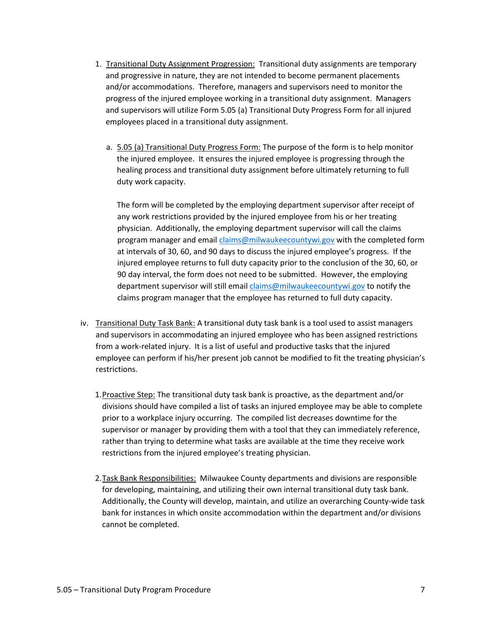- 1. Transitional Duty Assignment Progression: Transitional duty assignments are temporary and progressive in nature, they are not intended to become permanent placements and/or accommodations. Therefore, managers and supervisors need to monitor the progress of the injured employee working in a transitional duty assignment. Managers and supervisors will utilize Form 5.05 (a) Transitional Duty Progress Form for all injured employees placed in a transitional duty assignment.
	- a. 5.05 (a) Transitional Duty Progress Form: The purpose of the form is to help monitor the injured employee. It ensures the injured employee is progressing through the healing process and transitional duty assignment before ultimately returning to full duty work capacity.

The form will be completed by the employing department supervisor after receipt of any work restrictions provided by the injured employee from his or her treating physician. Additionally, the employing department supervisor will call the claims program manager and email claims@milwaukeecountywi.gov with the completed form at intervals of 30, 60, and 90 days to discuss the injured employee's progress. If the injured employee returns to full duty capacity prior to the conclusion of the 30, 60, or 90 day interval, the form does not need to be submitted. However, the employing department supervisor will still email claims@milwaukeecountywi.gov to notify the claims program manager that the employee has returned to full duty capacity.

- iv. Transitional Duty Task Bank: A transitional duty task bank is a tool used to assist managers and supervisors in accommodating an injured employee who has been assigned restrictions from a work-related injury. It is a list of useful and productive tasks that the injured employee can perform if his/her present job cannot be modified to fit the treating physician's restrictions.
	- 1.Proactive Step: The transitional duty task bank is proactive, as the department and/or divisions should have compiled a list of tasks an injured employee may be able to complete prior to a workplace injury occurring. The compiled list decreases downtime for the supervisor or manager by providing them with a tool that they can immediately reference, rather than trying to determine what tasks are available at the time they receive work restrictions from the injured employee's treating physician.
	- 2.Task Bank Responsibilities: Milwaukee County departments and divisions are responsible for developing, maintaining, and utilizing their own internal transitional duty task bank. Additionally, the County will develop, maintain, and utilize an overarching County-wide task bank for instances in which onsite accommodation within the department and/or divisions cannot be completed.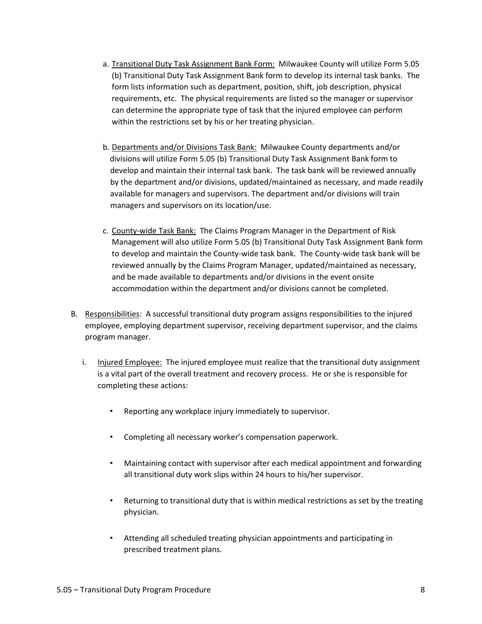- a. Transitional Duty Task Assignment Bank Form: Milwaukee County will utilize Form 5.05 (b) Transitional Duty Task Assignment Bank form to develop its internal task banks. The form lists information such as department, position, shift, job description, physical requirements, etc. The physical requirements are listed so the manager or supervisor can determine the appropriate type of task that the injured employee can perform within the restrictions set by his or her treating physician.
- b. Departments and/or Divisions Task Bank: Milwaukee County departments and/or divisions will utilize Form 5.05 (b) Transitional Duty Task Assignment Bank form to develop and maintain their internal task bank. The task bank will be reviewed annually by the department and/or divisions, updated/maintained as necessary, and made readily available for managers and supervisors. The department and/or divisions will train managers and supervisors on its location/use.
- c. County-wide Task Bank: The Claims Program Manager in the Department of Risk Management will also utilize Form 5.05 (b) Transitional Duty Task Assignment Bank form to develop and maintain the County-wide task bank. The County-wide task bank will be reviewed annually by the Claims Program Manager, updated/maintained as necessary, and be made available to departments and/or divisions in the event onsite accommodation within the department and/or divisions cannot be completed.
- B. Responsibilities: A successful transitional duty program assigns responsibilities to the injured employee, employing department supervisor, receiving department supervisor, and the claims program manager.
	- i. Injured Employee: The injured employee must realize that the transitional duty assignment is a vital part of the overall treatment and recovery process. He or she is responsible for completing these actions:
		- Reporting any workplace injury immediately to supervisor.
		- Completing all necessary worker's compensation paperwork.
		- Maintaining contact with supervisor after each medical appointment and forwarding all transitional duty work slips within 24 hours to his/her supervisor.
		- Returning to transitional duty that is within medical restrictions as set by the treating physician.
		- Attending all scheduled treating physician appointments and participating in prescribed treatment plans.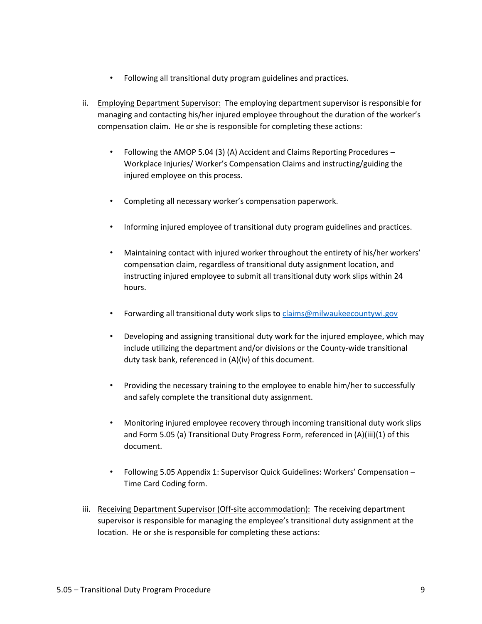- Following all transitional duty program guidelines and practices.
- ii. Employing Department Supervisor: The employing department supervisor is responsible for managing and contacting his/her injured employee throughout the duration of the worker's compensation claim. He or she is responsible for completing these actions:
	- Following the AMOP 5.04 (3) (A) Accident and Claims Reporting Procedures Workplace Injuries/ Worker's Compensation Claims and instructing/guiding the injured employee on this process.
	- Completing all necessary worker's compensation paperwork.
	- Informing injured employee of transitional duty program guidelines and practices.
	- Maintaining contact with injured worker throughout the entirety of his/her workers' compensation claim, regardless of transitional duty assignment location, and instructing injured employee to submit all transitional duty work slips within 24 hours.
	- Forwarding all transitional duty work slips to claims@milwaukeecountywi.gov
	- Developing and assigning transitional duty work for the injured employee, which may include utilizing the department and/or divisions or the County-wide transitional duty task bank, referenced in (A)(iv) of this document.
	- Providing the necessary training to the employee to enable him/her to successfully and safely complete the transitional duty assignment.
	- Monitoring injured employee recovery through incoming transitional duty work slips and Form 5.05 (a) Transitional Duty Progress Form, referenced in (A)(iii)(1) of this document.
	- Following 5.05 Appendix 1: Supervisor Quick Guidelines: Workers' Compensation Time Card Coding form.
- iii. Receiving Department Supervisor (Off-site accommodation): The receiving department supervisor is responsible for managing the employee's transitional duty assignment at the location. He or she is responsible for completing these actions: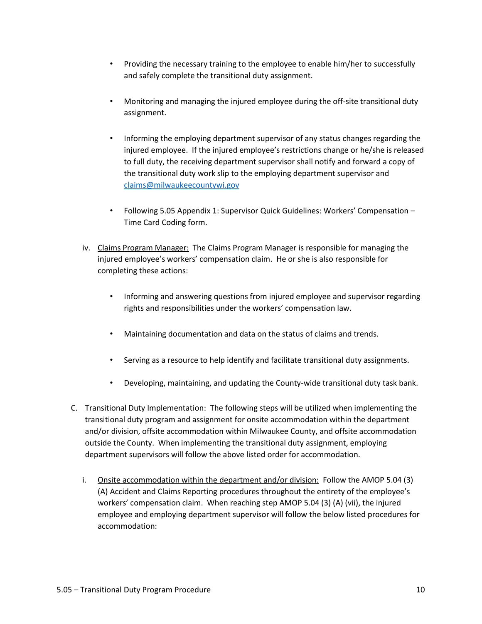- Providing the necessary training to the employee to enable him/her to successfully and safely complete the transitional duty assignment.
- Monitoring and managing the injured employee during the off-site transitional duty assignment.
- Informing the employing department supervisor of any status changes regarding the injured employee. If the injured employee's restrictions change or he/she is released to full duty, the receiving department supervisor shall notify and forward a copy of the transitional duty work slip to the employing department supervisor and claims@milwaukeecountywi.gov
- Following 5.05 Appendix 1: Supervisor Quick Guidelines: Workers' Compensation Time Card Coding form.
- iv. Claims Program Manager: The Claims Program Manager is responsible for managing the injured employee's workers' compensation claim. He or she is also responsible for completing these actions:
	- Informing and answering questions from injured employee and supervisor regarding rights and responsibilities under the workers' compensation law.
	- Maintaining documentation and data on the status of claims and trends.
	- Serving as a resource to help identify and facilitate transitional duty assignments.
	- Developing, maintaining, and updating the County-wide transitional duty task bank.
- C. Transitional Duty Implementation: The following steps will be utilized when implementing the transitional duty program and assignment for onsite accommodation within the department and/or division, offsite accommodation within Milwaukee County, and offsite accommodation outside the County. When implementing the transitional duty assignment, employing department supervisors will follow the above listed order for accommodation.
	- i. Onsite accommodation within the department and/or division: Follow the AMOP 5.04 (3) (A) Accident and Claims Reporting procedures throughout the entirety of the employee's workers' compensation claim. When reaching step AMOP 5.04 (3) (A) (vii), the injured employee and employing department supervisor will follow the below listed procedures for accommodation: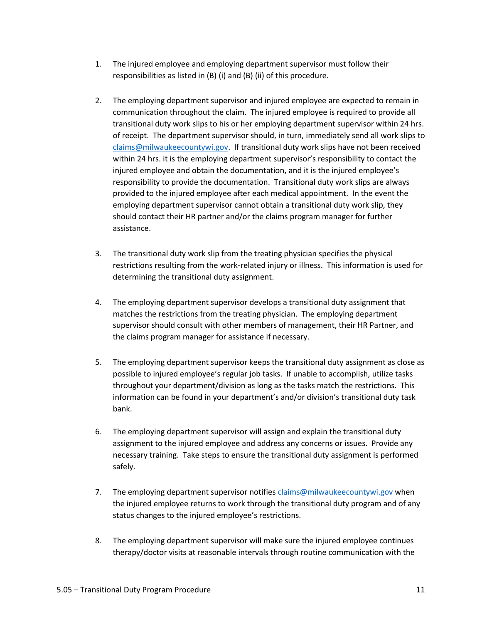- 1. The injured employee and employing department supervisor must follow their responsibilities as listed in (B) (i) and (B) (ii) of this procedure.
- 2. The employing department supervisor and injured employee are expected to remain in communication throughout the claim. The injured employee is required to provide all transitional duty work slips to his or her employing department supervisor within 24 hrs. of receipt. The department supervisor should, in turn, immediately send all work slips to claims@milwaukeecountywi.gov. If transitional duty work slips have not been received within 24 hrs. it is the employing department supervisor's responsibility to contact the injured employee and obtain the documentation, and it is the injured employee's responsibility to provide the documentation. Transitional duty work slips are always provided to the injured employee after each medical appointment. In the event the employing department supervisor cannot obtain a transitional duty work slip, they should contact their HR partner and/or the claims program manager for further assistance.
- 3. The transitional duty work slip from the treating physician specifies the physical restrictions resulting from the work-related injury or illness. This information is used for determining the transitional duty assignment.
- 4. The employing department supervisor develops a transitional duty assignment that matches the restrictions from the treating physician. The employing department supervisor should consult with other members of management, their HR Partner, and the claims program manager for assistance if necessary.
- 5. The employing department supervisor keeps the transitional duty assignment as close as possible to injured employee's regular job tasks. If unable to accomplish, utilize tasks throughout your department/division as long as the tasks match the restrictions. This information can be found in your department's and/or division's transitional duty task bank.
- 6. The employing department supervisor will assign and explain the transitional duty assignment to the injured employee and address any concerns or issues. Provide any necessary training. Take steps to ensure the transitional duty assignment is performed safely.
- 7. The employing department supervisor notifies claims@milwaukeecountywi.gov when the injured employee returns to work through the transitional duty program and of any status changes to the injured employee's restrictions.
- 8. The employing department supervisor will make sure the injured employee continues therapy/doctor visits at reasonable intervals through routine communication with the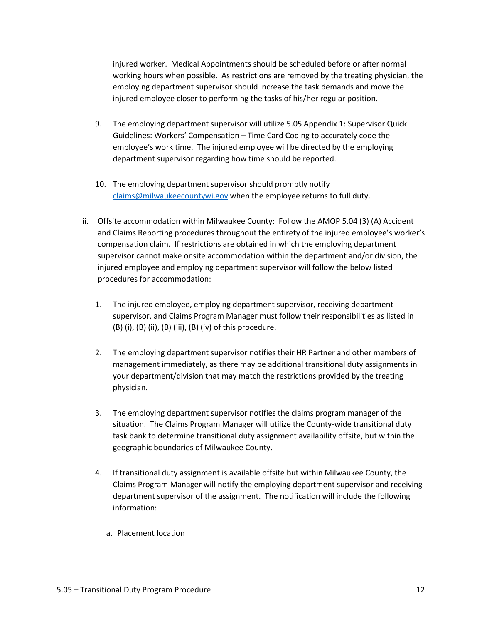injured worker. Medical Appointments should be scheduled before or after normal working hours when possible. As restrictions are removed by the treating physician, the employing department supervisor should increase the task demands and move the injured employee closer to performing the tasks of his/her regular position.

- 9. The employing department supervisor will utilize 5.05 Appendix 1: Supervisor Quick Guidelines: Workers' Compensation – Time Card Coding to accurately code the employee's work time. The injured employee will be directed by the employing department supervisor regarding how time should be reported.
- 10. The employing department supervisor should promptly notify claims@milwaukeecountywi.gov when the employee returns to full duty.
- ii. Offsite accommodation within Milwaukee County: Follow the AMOP 5.04 (3) (A) Accident and Claims Reporting procedures throughout the entirety of the injured employee's worker's compensation claim. If restrictions are obtained in which the employing department supervisor cannot make onsite accommodation within the department and/or division, the injured employee and employing department supervisor will follow the below listed procedures for accommodation:
	- 1. The injured employee, employing department supervisor, receiving department supervisor, and Claims Program Manager must follow their responsibilities as listed in  $(B)$  (i),  $(B)$  (ii),  $(B)$  (iii),  $(B)$  (iv) of this procedure.
	- 2. The employing department supervisor notifies their HR Partner and other members of management immediately, as there may be additional transitional duty assignments in your department/division that may match the restrictions provided by the treating physician.
	- 3. The employing department supervisor notifies the claims program manager of the situation. The Claims Program Manager will utilize the County-wide transitional duty task bank to determine transitional duty assignment availability offsite, but within the geographic boundaries of Milwaukee County.
	- 4. If transitional duty assignment is available offsite but within Milwaukee County, the Claims Program Manager will notify the employing department supervisor and receiving department supervisor of the assignment. The notification will include the following information:
		- a. Placement location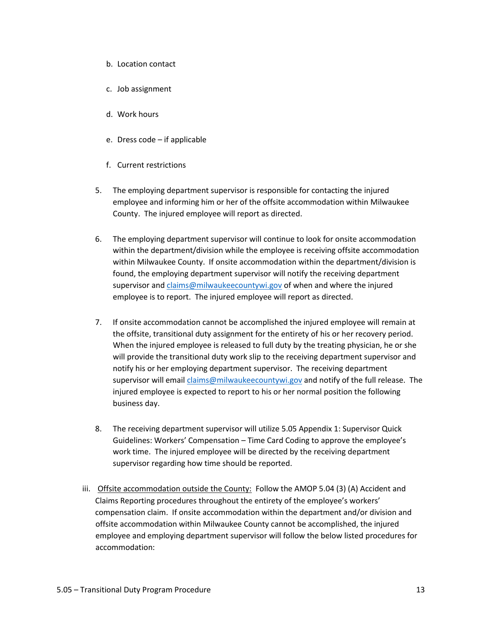- b. Location contact
- c. Job assignment
- d. Work hours
- e. Dress code if applicable
- f. Current restrictions
- 5. The employing department supervisor is responsible for contacting the injured employee and informing him or her of the offsite accommodation within Milwaukee County. The injured employee will report as directed.
- 6. The employing department supervisor will continue to look for onsite accommodation within the department/division while the employee is receiving offsite accommodation within Milwaukee County. If onsite accommodation within the department/division is found, the employing department supervisor will notify the receiving department supervisor and claims@milwaukeecountywi.gov of when and where the injured employee is to report. The injured employee will report as directed.
- 7. If onsite accommodation cannot be accomplished the injured employee will remain at the offsite, transitional duty assignment for the entirety of his or her recovery period. When the injured employee is released to full duty by the treating physician, he or she will provide the transitional duty work slip to the receiving department supervisor and notify his or her employing department supervisor. The receiving department supervisor will email claims@milwaukeecountywi.gov and notify of the full release. The injured employee is expected to report to his or her normal position the following business day.
- 8. The receiving department supervisor will utilize 5.05 Appendix 1: Supervisor Quick Guidelines: Workers' Compensation – Time Card Coding to approve the employee's work time. The injured employee will be directed by the receiving department supervisor regarding how time should be reported.
- iii. Offsite accommodation outside the County: Follow the AMOP 5.04 (3) (A) Accident and Claims Reporting procedures throughout the entirety of the employee's workers' compensation claim. If onsite accommodation within the department and/or division and offsite accommodation within Milwaukee County cannot be accomplished, the injured employee and employing department supervisor will follow the below listed procedures for accommodation: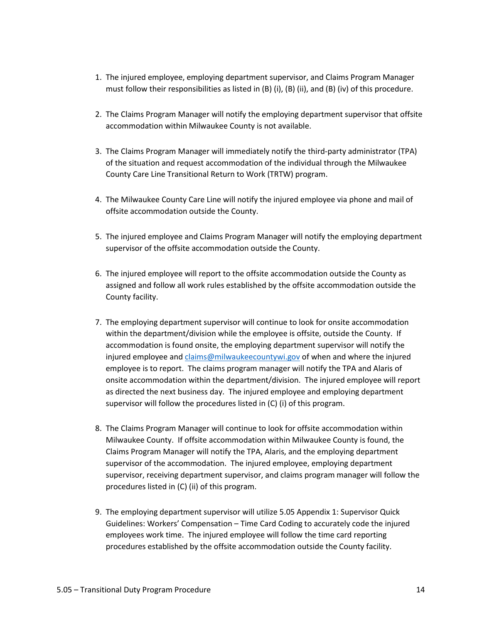- 1. The injured employee, employing department supervisor, and Claims Program Manager must follow their responsibilities as listed in  $(B)$  (i),  $(B)$  (ii), and  $(B)$  (iv) of this procedure.
- 2. The Claims Program Manager will notify the employing department supervisor that offsite accommodation within Milwaukee County is not available.
- 3. The Claims Program Manager will immediately notify the third-party administrator (TPA) of the situation and request accommodation of the individual through the Milwaukee County Care Line Transitional Return to Work (TRTW) program.
- 4. The Milwaukee County Care Line will notify the injured employee via phone and mail of offsite accommodation outside the County.
- 5. The injured employee and Claims Program Manager will notify the employing department supervisor of the offsite accommodation outside the County.
- 6. The injured employee will report to the offsite accommodation outside the County as assigned and follow all work rules established by the offsite accommodation outside the County facility.
- 7. The employing department supervisor will continue to look for onsite accommodation within the department/division while the employee is offsite, outside the County. If accommodation is found onsite, the employing department supervisor will notify the injured employee and claims@milwaukeecountywi.gov of when and where the injured employee is to report. The claims program manager will notify the TPA and Alaris of onsite accommodation within the department/division. The injured employee will report as directed the next business day. The injured employee and employing department supervisor will follow the procedures listed in (C) (i) of this program.
- 8. The Claims Program Manager will continue to look for offsite accommodation within Milwaukee County. If offsite accommodation within Milwaukee County is found, the Claims Program Manager will notify the TPA, Alaris, and the employing department supervisor of the accommodation. The injured employee, employing department supervisor, receiving department supervisor, and claims program manager will follow the procedures listed in (C) (ii) of this program.
- 9. The employing department supervisor will utilize 5.05 Appendix 1: Supervisor Quick Guidelines: Workers' Compensation – Time Card Coding to accurately code the injured employees work time. The injured employee will follow the time card reporting procedures established by the offsite accommodation outside the County facility.